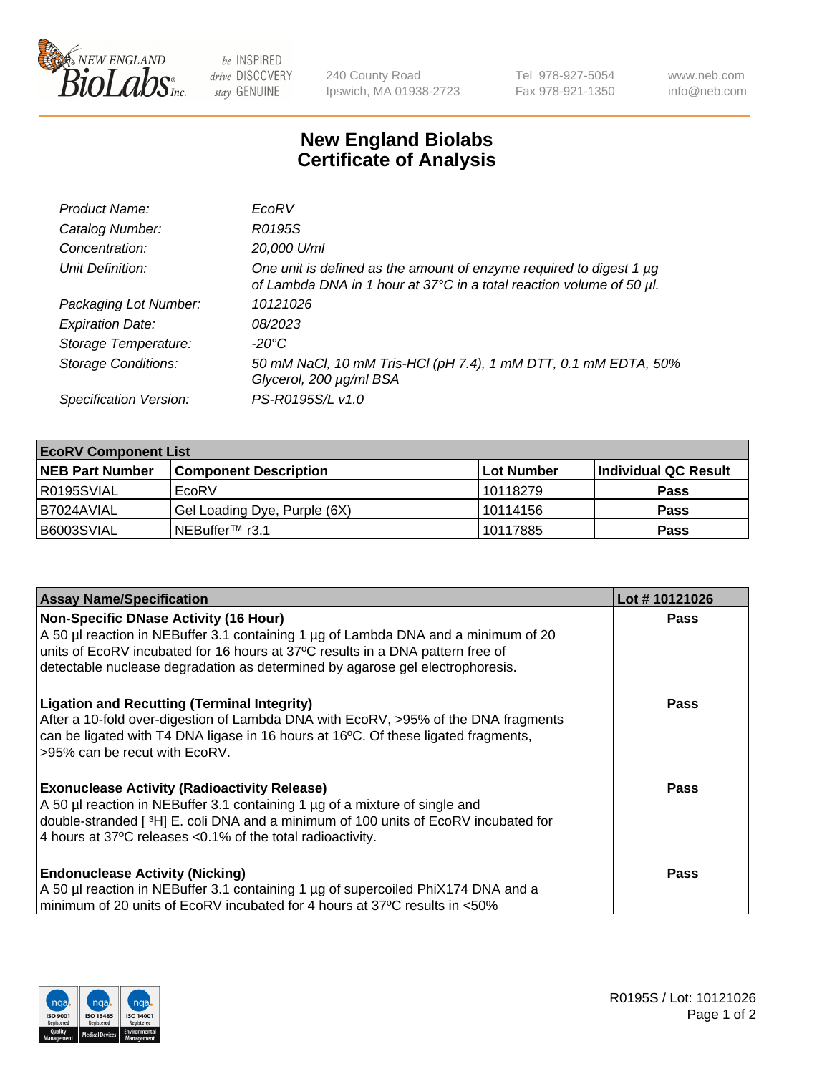

 $be$  INSPIRED drive DISCOVERY stay GENUINE

240 County Road Ipswich, MA 01938-2723 Tel 978-927-5054 Fax 978-921-1350 www.neb.com info@neb.com

## **New England Biolabs Certificate of Analysis**

| Product Name:              | EcoRV                                                                                                                                       |
|----------------------------|---------------------------------------------------------------------------------------------------------------------------------------------|
| Catalog Number:            | R0195S                                                                                                                                      |
| Concentration:             | 20,000 U/ml                                                                                                                                 |
| Unit Definition:           | One unit is defined as the amount of enzyme required to digest 1 µg<br>of Lambda DNA in 1 hour at 37°C in a total reaction volume of 50 µl. |
| Packaging Lot Number:      | 10121026                                                                                                                                    |
| <b>Expiration Date:</b>    | 08/2023                                                                                                                                     |
| Storage Temperature:       | -20°C                                                                                                                                       |
| <b>Storage Conditions:</b> | 50 mM NaCl, 10 mM Tris-HCl (pH 7.4), 1 mM DTT, 0.1 mM EDTA, 50%<br>Glycerol, 200 µg/ml BSA                                                  |
| Specification Version:     | PS-R0195S/L v1.0                                                                                                                            |

| <b>EcoRV Component List</b> |                              |            |                      |  |  |
|-----------------------------|------------------------------|------------|----------------------|--|--|
| <b>NEB Part Number</b>      | <b>Component Description</b> | Lot Number | Individual QC Result |  |  |
| I R0195SVIAL                | EcoRV                        | 10118279   | <b>Pass</b>          |  |  |
| I B7024AVIAL                | Gel Loading Dye, Purple (6X) | 10114156   | <b>Pass</b>          |  |  |
| B6003SVIAL                  | INEBuffer™ r3.1              | 10117885   | <b>Pass</b>          |  |  |

| <b>Assay Name/Specification</b>                                                                                                                                      | Lot #10121026 |
|----------------------------------------------------------------------------------------------------------------------------------------------------------------------|---------------|
| Non-Specific DNase Activity (16 Hour)                                                                                                                                | <b>Pass</b>   |
| A 50 µl reaction in NEBuffer 3.1 containing 1 µg of Lambda DNA and a minimum of 20<br>units of EcoRV incubated for 16 hours at 37°C results in a DNA pattern free of |               |
| detectable nuclease degradation as determined by agarose gel electrophoresis.                                                                                        |               |
| <b>Ligation and Recutting (Terminal Integrity)</b>                                                                                                                   | <b>Pass</b>   |
| After a 10-fold over-digestion of Lambda DNA with EcoRV, >95% of the DNA fragments                                                                                   |               |
| can be ligated with T4 DNA ligase in 16 hours at 16 $\degree$ C. Of these ligated fragments,<br>595% can be recut with EcoRV.                                        |               |
|                                                                                                                                                                      |               |
| <b>Exonuclease Activity (Radioactivity Release)</b>                                                                                                                  | Pass          |
| A 50 µl reaction in NEBuffer 3.1 containing 1 µg of a mixture of single and                                                                                          |               |
| double-stranded [ <sup>3</sup> H] E. coli DNA and a minimum of 100 units of EcoRV incubated for                                                                      |               |
| 4 hours at 37°C releases < 0.1% of the total radioactivity.                                                                                                          |               |
| <b>Endonuclease Activity (Nicking)</b>                                                                                                                               | Pass          |
| A 50 µl reaction in NEBuffer 3.1 containing 1 µg of supercoiled PhiX174 DNA and a                                                                                    |               |
| minimum of 20 units of EcoRV incubated for 4 hours at 37°C results in <50%                                                                                           |               |